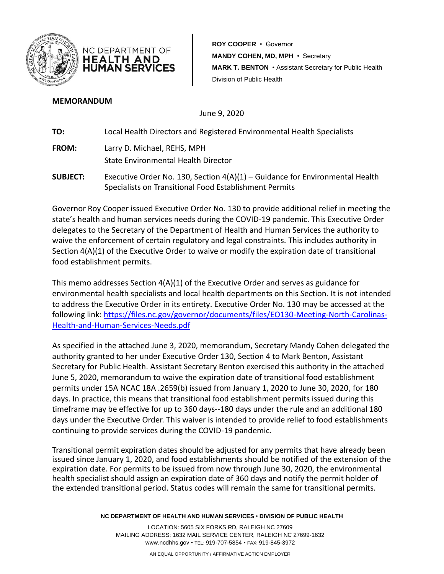

NC DEPARTMENT OF **HEALTH AND HUMAN SERVICES**  **ROY COOPER** • Governor **MANDY COHEN, MD, MPH** • Secretary **MARK T. BENTON** • Assistant Secretary for Public Health Division of Public Health

### **MEMORANDUM**

June 9, 2020

**TO:** Local Health Directors and Registered Environmental Health Specialists

- **FROM:** Larry D. Michael, REHS, MPH State Environmental Health Director
- **SUBJECT:** Executive Order No. 130, Section 4(A)(1) Guidance for Environmental Health Specialists on Transitional Food Establishment Permits

Governor Roy Cooper issued Executive Order No. 130 to provide additional relief in meeting the state's health and human services needs during the COVID-19 pandemic. This Executive Order delegates to the Secretary of the Department of Health and Human Services the authority to waive the enforcement of certain regulatory and legal constraints. This includes authority in Section 4(A)(1) of the Executive Order to waive or modify the expiration date of transitional food establishment permits.

This memo addresses Section 4(A)(1) of the Executive Order and serves as guidance for environmental health specialists and local health departments on this Section. It is not intended to address the Executive Order in its entirety. Executive Order No. 130 may be accessed at the following link: [https://files.nc.gov/governor/documents/files/EO130-Meeting-North-Carolinas-](https://files.nc.gov/governor/documents/files/EO130-Meeting-North-Carolinas-Health-and-Human-Services-Needs.pdf)[Health-and-Human-Services-Needs.pdf](https://files.nc.gov/governor/documents/files/EO130-Meeting-North-Carolinas-Health-and-Human-Services-Needs.pdf)

As specified in the attached June 3, 2020, memorandum, Secretary Mandy Cohen delegated the authority granted to her under Executive Order 130, Section 4 to Mark Benton, Assistant Secretary for Public Health. Assistant Secretary Benton exercised this authority in the attached June 5, 2020, memorandum to waive the expiration date of transitional food establishment permits under 15A NCAC 18A .2659(b) issued from January 1, 2020 to June 30, 2020, for 180 days. In practice, this means that transitional food establishment permits issued during this timeframe may be effective for up to 360 days--180 days under the rule and an additional 180 days under the Executive Order. This waiver is intended to provide relief to food establishments continuing to provide services during the COVID-19 pandemic.

Transitional permit expiration dates should be adjusted for any permits that have already been issued since January 1, 2020, and food establishments should be notified of the extension of the expiration date. For permits to be issued from now through June 30, 2020, the environmental health specialist should assign an expiration date of 360 days and notify the permit holder of the extended transitional period. Status codes will remain the same for transitional permits.

**NC DEPARTMENT OF HEALTH AND HUMAN SERVICES** • **DIVISION OF PUBLIC HEALTH**

LOCATION: 5605 SIX FORKS RD, RALEIGH NC 27609 MAILING ADDRESS: 1632 MAIL SERVICE CENTER, RALEIGH NC 27699-1632 www.ncdhhs.gov • TEL: 919-707-5854 • FAX: 919-845-3972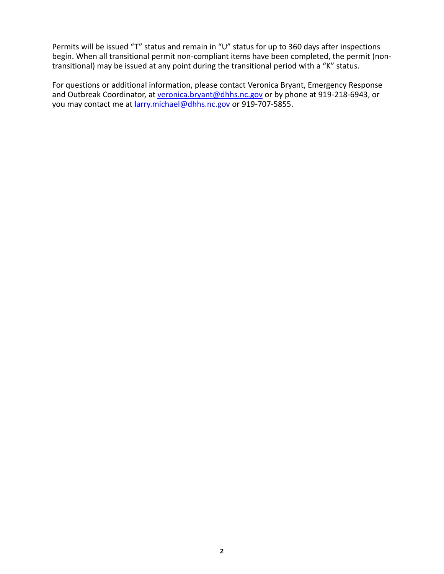Permits will be issued "T" status and remain in "U" status for up to 360 days after inspections begin. When all transitional permit non-compliant items have been completed, the permit (nontransitional) may be issued at any point during the transitional period with a "K" status.

For questions or additional information, please contact Veronica Bryant, Emergency Response and Outbreak Coordinator, at [veronica.bryant@dhhs.nc.gov](mailto:veronica.bryant@dhhs.nc.gov) or by phone at 919-218-6943, or you may contact me at [larry.michael@dhhs.nc.gov](mailto:larry.michael@dhhs.nc.gov) or 919-707-5855.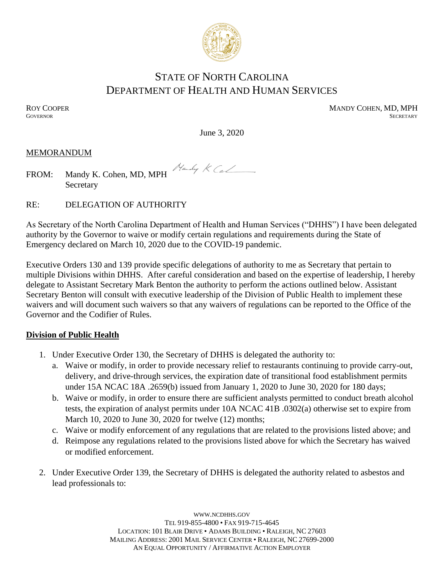

# STATE OF NORTH CAROLINA DEPARTMENT OF HEALTH AND HUMAN SERVICES

ROY COOPER MANDY COHEN, MD, MPH GOVERNOR SECRETARY **GOVERNOR** SECRETARY SECRETARY

June 3, 2020

Handy KCJ

### MEMORANDUM

|  | FROM: Mandy K. Cohen, MD, MPH |
|--|-------------------------------|
|  | Secretary                     |

RE: DELEGATION OF AUTHORITY

As Secretary of the North Carolina Department of Health and Human Services ("DHHS") I have been delegated authority by the Governor to waive or modify certain regulations and requirements during the State of Emergency declared on March 10, 2020 due to the COVID-19 pandemic.

Executive Orders 130 and 139 provide specific delegations of authority to me as Secretary that pertain to multiple Divisions within DHHS. After careful consideration and based on the expertise of leadership, I hereby delegate to Assistant Secretary Mark Benton the authority to perform the actions outlined below. Assistant Secretary Benton will consult with executive leadership of the Division of Public Health to implement these waivers and will document such waivers so that any waivers of regulations can be reported to the Office of the Governor and the Codifier of Rules.

## **Division of Public Health**

- 1. Under Executive Order 130, the Secretary of DHHS is delegated the authority to:
	- a. Waive or modify, in order to provide necessary relief to restaurants continuing to provide carry-out, delivery, and drive-through services, the expiration date of transitional food establishment permits under 15A NCAC 18A .2659(b) issued from January 1, 2020 to June 30, 2020 for 180 days;
	- b. Waive or modify, in order to ensure there are sufficient analysts permitted to conduct breath alcohol tests, the expiration of analyst permits under 10A NCAC 41B .0302(a) otherwise set to expire from March 10, 2020 to June 30, 2020 for twelve (12) months;
	- c. Waive or modify enforcement of any regulations that are related to the provisions listed above; and
	- d. Reimpose any regulations related to the provisions listed above for which the Secretary has waived or modified enforcement.
- 2. Under Executive Order 139, the Secretary of DHHS is delegated the authority related to asbestos and lead professionals to:

WWW.[NCDHHS](http://www.ncdhhs.gov/).GOV TEL 919-855-4800 • FAX 919-715-4645 LOCATION: 101 BLAIR DRIVE • ADAMS BUILDING • RALEIGH, NC 27603 MAILING ADDRESS: 2001 MAIL SERVICE CENTER • RALEIGH, NC 27699-2000 AN EQUAL OPPORTUNITY / AFFIRMATIVE ACTION EMPLOYER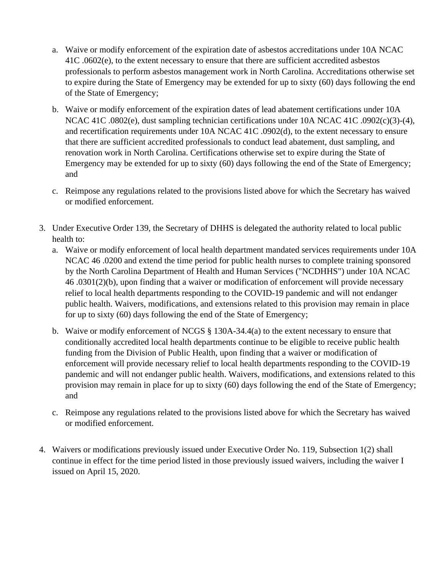- a. Waive or modify enforcement of the expiration date of asbestos accreditations under 10A NCAC 41C .0602(e), to the extent necessary to ensure that there are sufficient accredited asbestos professionals to perform asbestos management work in North Carolina. Accreditations otherwise set to expire during the State of Emergency may be extended for up to sixty (60) days following the end of the State of Emergency;
- b. Waive or modify enforcement of the expiration dates of lead abatement certifications under 10A NCAC 41C .0802(e), dust sampling technician certifications under 10A NCAC 41C .0902(c)(3)-(4), and recertification requirements under 10A NCAC 41C .0902(d), to the extent necessary to ensure that there are sufficient accredited professionals to conduct lead abatement, dust sampling, and renovation work in North Carolina. Certifications otherwise set to expire during the State of Emergency may be extended for up to sixty (60) days following the end of the State of Emergency; and
- c. Reimpose any regulations related to the provisions listed above for which the Secretary has waived or modified enforcement.
- 3. Under Executive Order 139, the Secretary of DHHS is delegated the authority related to local public health to:
	- a. Waive or modify enforcement of local health department mandated services requirements under 10A NCAC 46 .0200 and extend the time period for public health nurses to complete training sponsored by the North Carolina Department of Health and Human Services ("NCDHHS") under 10A NCAC 46 .0301(2)(b), upon finding that a waiver or modification of enforcement will provide necessary relief to local health departments responding to the COVID-19 pandemic and will not endanger public health. Waivers, modifications, and extensions related to this provision may remain in place for up to sixty (60) days following the end of the State of Emergency;
	- b. Waive or modify enforcement of NCGS § 130A-34.4(a) to the extent necessary to ensure that conditionally accredited local health departments continue to be eligible to receive public health funding from the Division of Public Health, upon finding that a waiver or modification of enforcement will provide necessary relief to local health departments responding to the COVID-19 pandemic and will not endanger public health. Waivers, modifications, and extensions related to this provision may remain in place for up to sixty (60) days following the end of the State of Emergency; and
	- c. Reimpose any regulations related to the provisions listed above for which the Secretary has waived or modified enforcement.
- 4. Waivers or modifications previously issued under Executive Order No. 119, Subsection 1(2) shall continue in effect for the time period listed in those previously issued waivers, including the waiver I issued on April 15, 2020.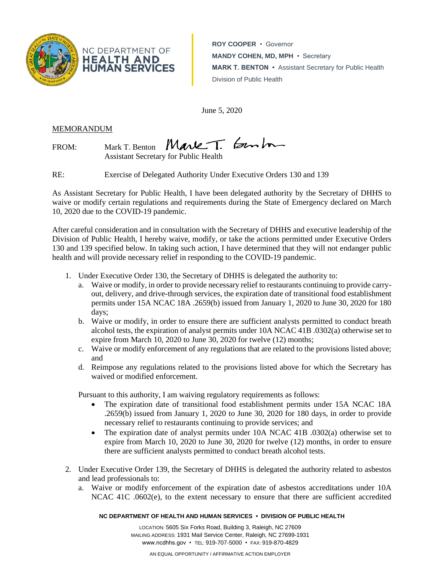

**ROY COOPER** • Governor **MANDY COHEN, MD, MPH** • Secretary **MARK T. BENTON •** Assistant Secretary for Public Health Division of Public Health

June 5, 2020

MEMORANDUM

FROM: Mark T. Benton Mark T. Benham

Assistant Secretary for Public Health

RE: Exercise of Delegated Authority Under Executive Orders 130 and 139

As Assistant Secretary for Public Health, I have been delegated authority by the Secretary of DHHS to waive or modify certain regulations and requirements during the State of Emergency declared on March 10, 2020 due to the COVID-19 pandemic.

After careful consideration and in consultation with the Secretary of DHHS and executive leadership of the Division of Public Health, I hereby waive, modify, or take the actions permitted under Executive Orders 130 and 139 specified below. In taking such action, I have determined that they will not endanger public health and will provide necessary relief in responding to the COVID-19 pandemic.

- 1. Under Executive Order 130, the Secretary of DHHS is delegated the authority to:
	- a. Waive or modify, in order to provide necessary relief to restaurants continuing to provide carryout, delivery, and drive-through services, the expiration date of transitional food establishment permits under 15A NCAC 18A .2659(b) issued from January 1, 2020 to June 30, 2020 for 180 days;
	- b. Waive or modify, in order to ensure there are sufficient analysts permitted to conduct breath alcohol tests, the expiration of analyst permits under 10A NCAC 41B .0302(a) otherwise set to expire from March 10, 2020 to June 30, 2020 for twelve (12) months;
	- c. Waive or modify enforcement of any regulations that are related to the provisions listed above; and
	- d. Reimpose any regulations related to the provisions listed above for which the Secretary has waived or modified enforcement.

Pursuant to this authority, I am waiving regulatory requirements as follows:

- The expiration date of transitional food establishment permits under 15A NCAC 18A .2659(b) issued from January 1, 2020 to June 30, 2020 for 180 days, in order to provide necessary relief to restaurants continuing to provide services; and
- The expiration date of analyst permits under 10A NCAC 41B .0302(a) otherwise set to expire from March 10, 2020 to June 30, 2020 for twelve (12) months, in order to ensure there are sufficient analysts permitted to conduct breath alcohol tests.
- 2. Under Executive Order 139, the Secretary of DHHS is delegated the authority related to asbestos and lead professionals to:
	- a. Waive or modify enforcement of the expiration date of asbestos accreditations under 10A NCAC 41C .0602(e), to the extent necessary to ensure that there are sufficient accredited

#### **NC DEPARTMENT OF HEALTH AND HUMAN SERVICES • DIVISION OF PUBLIC HEALTH**

LOCATION: 5605 Six Forks Road, Building 3, Raleigh, NC 27609 MAILING ADDRESS: 1931 Mail Service Center, Raleigh, NC 27699-1931 www.ncdhhs.gov • TEL: 919-707-5000 • FAX: 919-870-4829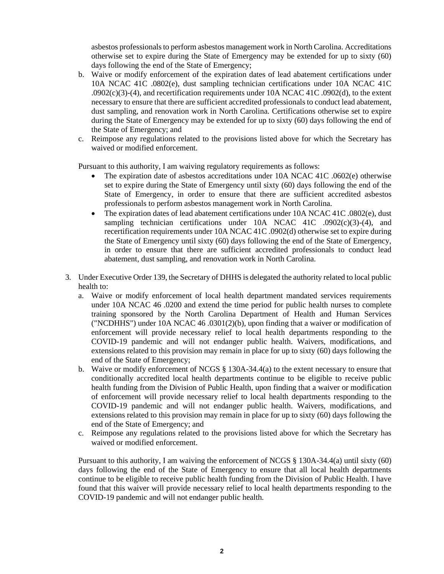asbestos professionals to perform asbestos management work in North Carolina. Accreditations otherwise set to expire during the State of Emergency may be extended for up to sixty (60) days following the end of the State of Emergency;

- b. Waive or modify enforcement of the expiration dates of lead abatement certifications under 10A NCAC 41C .0802(e), dust sampling technician certifications under 10A NCAC 41C  $.0902(c)(3)-(4)$ , and recertification requirements under 10A NCAC 41C .0902(d), to the extent necessary to ensure that there are sufficient accredited professionals to conduct lead abatement, dust sampling, and renovation work in North Carolina. Certifications otherwise set to expire during the State of Emergency may be extended for up to sixty (60) days following the end of the State of Emergency; and
- c. Reimpose any regulations related to the provisions listed above for which the Secretary has waived or modified enforcement.

Pursuant to this authority, I am waiving regulatory requirements as follows:

- The expiration date of asbestos accreditations under 10A NCAC 41C .0602(e) otherwise set to expire during the State of Emergency until sixty (60) days following the end of the State of Emergency, in order to ensure that there are sufficient accredited asbestos professionals to perform asbestos management work in North Carolina.
- The expiration dates of lead abatement certifications under 10A NCAC 41C .0802(e), dust sampling technician certifications under 10A NCAC 41C .0902(c)(3)-(4), and recertification requirements under 10A NCAC 41C .0902(d) otherwise set to expire during the State of Emergency until sixty (60) days following the end of the State of Emergency, in order to ensure that there are sufficient accredited professionals to conduct lead abatement, dust sampling, and renovation work in North Carolina.
- 3. Under Executive Order 139, the Secretary of DHHS is delegated the authority related to local public health to:
	- a. Waive or modify enforcement of local health department mandated services requirements under 10A NCAC 46 .0200 and extend the time period for public health nurses to complete training sponsored by the North Carolina Department of Health and Human Services ("NCDHHS") under 10A NCAC 46 .0301(2)(b), upon finding that a waiver or modification of enforcement will provide necessary relief to local health departments responding to the COVID-19 pandemic and will not endanger public health. Waivers, modifications, and extensions related to this provision may remain in place for up to sixty (60) days following the end of the State of Emergency;
	- b. Waive or modify enforcement of NCGS § 130A-34.4(a) to the extent necessary to ensure that conditionally accredited local health departments continue to be eligible to receive public health funding from the Division of Public Health, upon finding that a waiver or modification of enforcement will provide necessary relief to local health departments responding to the COVID-19 pandemic and will not endanger public health. Waivers, modifications, and extensions related to this provision may remain in place for up to sixty (60) days following the end of the State of Emergency; and
	- c. Reimpose any regulations related to the provisions listed above for which the Secretary has waived or modified enforcement.

Pursuant to this authority, I am waiving the enforcement of NCGS § 130A-34.4(a) until sixty (60) days following the end of the State of Emergency to ensure that all local health departments continue to be eligible to receive public health funding from the Division of Public Health. I have found that this waiver will provide necessary relief to local health departments responding to the COVID-19 pandemic and will not endanger public health.